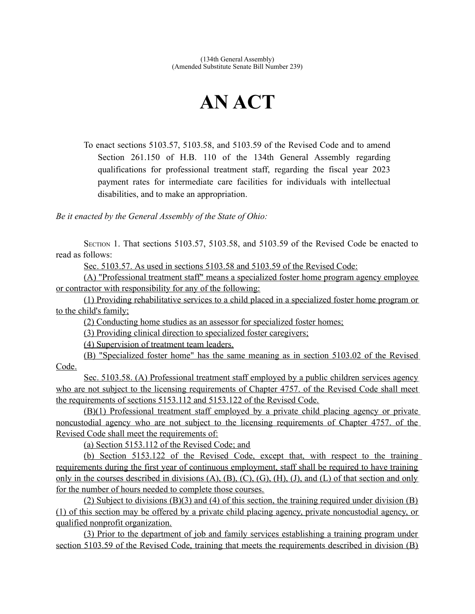## **AN ACT**

To enact sections 5103.57, 5103.58, and 5103.59 of the Revised Code and to amend Section 261.150 of H.B. 110 of the 134th General Assembly regarding qualifications for professional treatment staff, regarding the fiscal year 2023 payment rates for intermediate care facilities for individuals with intellectual disabilities, and to make an appropriation.

*Be it enacted by the General Assembly of the State of Ohio:*

SECTION 1. That sections 5103.57, 5103.58, and 5103.59 of the Revised Code be enacted to read as follows:

Sec. 5103.57. As used in sections 5103.58 and 5103.59 of the Revised Code:

(A) "Professional treatment staff" means a specialized foster home program agency employee or contractor with responsibility for any of the following:

(1) Providing rehabilitative services to a child placed in a specialized foster home program or to the child's family;

(2) Conducting home studies as an assessor for specialized foster homes;

(3) Providing clinical direction to specialized foster caregivers;

(4) Supervision of treatment team leaders.

(B) "Specialized foster home" has the same meaning as in section 5103.02 of the Revised Code.

 Sec. 5103.58. (A) Professional treatment staff employed by a public children services agency who are not subject to the licensing requirements of Chapter 4757. of the Revised Code shall meet the requirements of sections 5153.112 and 5153.122 of the Revised Code.

(B)(1) Professional treatment staff employed by a private child placing agency or private noncustodial agency who are not subject to the licensing requirements of Chapter 4757. of the Revised Code shall meet the requirements of:

(a) Section 5153.112 of the Revised Code; and

(b) Section 5153.122 of the Revised Code, except that, with respect to the training requirements during the first year of continuous employment, staff shall be required to have training only in the courses described in divisions  $(A)$ ,  $(B)$ ,  $(C)$ ,  $(G)$ ,  $(H)$ ,  $(J)$ , and  $(L)$  of that section and only for the number of hours needed to complete those courses.

(2) Subject to divisions (B)(3) and (4) of this section, the training required under division (B) (1) of this section may be offered by a private child placing agency, private noncustodial agency, or qualified nonprofit organization.

(3) Prior to the department of job and family services establishing a training program under section 5103.59 of the Revised Code, training that meets the requirements described in division (B)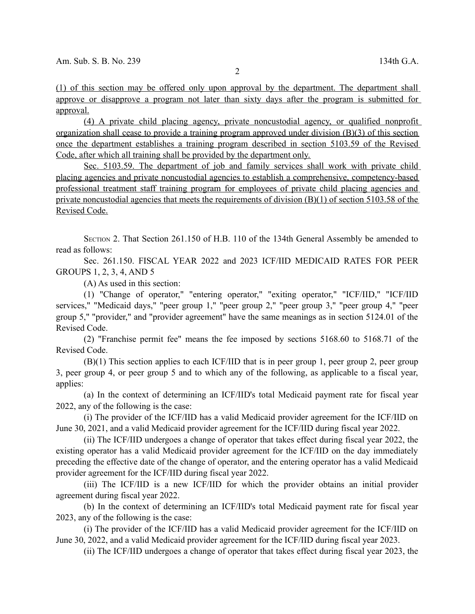(1) of this section may be offered only upon approval by the department. The department shall approve or disapprove a program not later than sixty days after the program is submitted for approval.

(4) A private child placing agency, private noncustodial agency, or qualified nonprofit organization shall cease to provide a training program approved under division (B)(3) of this section once the department establishes a training program described in section 5103.59 of the Revised Code, after which all training shall be provided by the department only.

Sec. 5103.59. The department of job and family services shall work with private child placing agencies and private noncustodial agencies to establish a comprehensive, competency-based professional treatment staff training program for employees of private child placing agencies and private noncustodial agencies that meets the requirements of division  $(B)(1)$  of section 5103.58 of the Revised Code.

SECTION 2. That Section 261.150 of H.B. 110 of the 134th General Assembly be amended to read as follows:

Sec. 261.150. FISCAL YEAR 2022 and 2023 ICF/IID MEDICAID RATES FOR PEER GROUPS 1, 2, 3, 4, AND 5

(A) As used in this section:

(1) "Change of operator," "entering operator," "exiting operator," "ICF/IID," "ICF/IID services," "Medicaid days," "peer group 1," "peer group 2," "peer group 3," "peer group 4," "peer group 5," "provider," and "provider agreement" have the same meanings as in section 5124.01 of the Revised Code.

(2) "Franchise permit fee" means the fee imposed by sections 5168.60 to 5168.71 of the Revised Code.

(B)(1) This section applies to each ICF/IID that is in peer group 1, peer group 2, peer group 3, peer group 4, or peer group 5 and to which any of the following, as applicable to a fiscal year, applies:

(a) In the context of determining an ICF/IID's total Medicaid payment rate for fiscal year 2022, any of the following is the case:

(i) The provider of the ICF/IID has a valid Medicaid provider agreement for the ICF/IID on June 30, 2021, and a valid Medicaid provider agreement for the ICF/IID during fiscal year 2022.

(ii) The ICF/IID undergoes a change of operator that takes effect during fiscal year 2022, the existing operator has a valid Medicaid provider agreement for the ICF/IID on the day immediately preceding the effective date of the change of operator, and the entering operator has a valid Medicaid provider agreement for the ICF/IID during fiscal year 2022.

(iii) The ICF/IID is a new ICF/IID for which the provider obtains an initial provider agreement during fiscal year 2022.

(b) In the context of determining an ICF/IID's total Medicaid payment rate for fiscal year 2023, any of the following is the case:

(i) The provider of the ICF/IID has a valid Medicaid provider agreement for the ICF/IID on June 30, 2022, and a valid Medicaid provider agreement for the ICF/IID during fiscal year 2023.

(ii) The ICF/IID undergoes a change of operator that takes effect during fiscal year 2023, the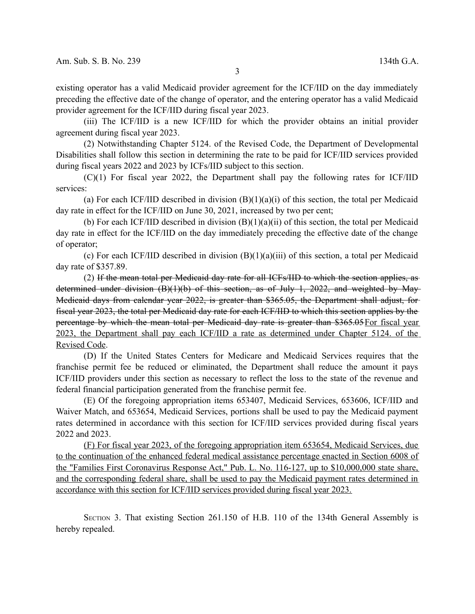existing operator has a valid Medicaid provider agreement for the ICF/IID on the day immediately preceding the effective date of the change of operator, and the entering operator has a valid Medicaid provider agreement for the ICF/IID during fiscal year 2023.

(iii) The ICF/IID is a new ICF/IID for which the provider obtains an initial provider agreement during fiscal year 2023.

(2) Notwithstanding Chapter 5124. of the Revised Code, the Department of Developmental Disabilities shall follow this section in determining the rate to be paid for ICF/IID services provided during fiscal years 2022 and 2023 by ICFs/IID subject to this section.

(C)(1) For fiscal year 2022, the Department shall pay the following rates for ICF/IID services:

(a) For each ICF/IID described in division  $(B)(1)(a)(i)$  of this section, the total per Medicaid day rate in effect for the ICF/IID on June 30, 2021, increased by two per cent;

(b) For each ICF/IID described in division (B)(1)(a)(ii) of this section, the total per Medicaid day rate in effect for the ICF/IID on the day immediately preceding the effective date of the change of operator;

(c) For each ICF/IID described in division (B)(1)(a)(iii) of this section, a total per Medicaid day rate of \$357.89.

(2) If the mean total per Medicaid day rate for all ICFs/IID to which the section applies, as determined under division (B)(1)(b) of this section, as of July 1, 2022, and weighted by May-Medicaid days from calendar year 2022, is greater than \$365.05, the Department shall adjust, for fiscal year 2023, the total per Medicaid day rate for each ICF/IID to which this section applies by the percentage by which the mean total per Medicaid day rate is greater than \$365.05 For fiscal year 2023, the Department shall pay each ICF/IID a rate as determined under Chapter 5124. of the Revised Code.

(D) If the United States Centers for Medicare and Medicaid Services requires that the franchise permit fee be reduced or eliminated, the Department shall reduce the amount it pays ICF/IID providers under this section as necessary to reflect the loss to the state of the revenue and federal financial participation generated from the franchise permit fee.

(E) Of the foregoing appropriation items 653407, Medicaid Services, 653606, ICF/IID and Waiver Match, and 653654, Medicaid Services, portions shall be used to pay the Medicaid payment rates determined in accordance with this section for ICF/IID services provided during fiscal years 2022 and 2023.

(F) For fiscal year 2023, of the foregoing appropriation item 653654, Medicaid Services, due to the continuation of the enhanced federal medical assistance percentage enacted in Section 6008 of the "Families First Coronavirus Response Act," Pub. L. No. 116-127, up to \$10,000,000 state share, and the corresponding federal share, shall be used to pay the Medicaid payment rates determined in accordance with this section for ICF/IID services provided during fiscal year 2023.

SECTION 3. That existing Section 261.150 of H.B. 110 of the 134th General Assembly is hereby repealed.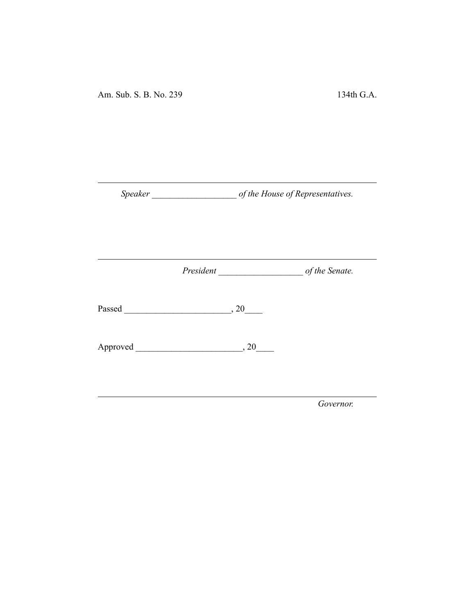Am. Sub. S. B. No. 239 134th G.A.

*Speaker \_\_\_\_\_\_\_\_\_\_\_\_\_\_\_\_\_\_\_ of the House of Representatives.*

*President \_\_\_\_\_\_\_\_\_\_\_\_\_\_\_\_\_\_\_ of the Senate.*

Passed \_\_\_\_\_\_\_\_\_\_\_\_\_\_\_\_\_\_\_\_\_\_\_\_, 20\_\_\_\_

Approved \_\_\_\_\_\_\_\_\_\_\_\_\_\_\_\_\_\_\_\_\_\_\_\_, 20\_\_\_\_

*Governor.*